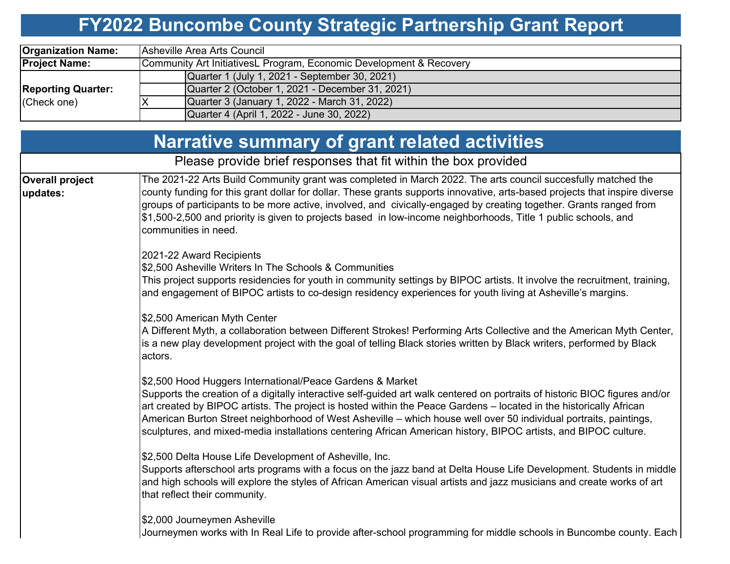# **FY2022 Buncombe County Strategic Partnership Grant Report**

| <b>Organization Name:</b>                | Asheville Area Arts Council                                         |  |  |  |  |  |  |
|------------------------------------------|---------------------------------------------------------------------|--|--|--|--|--|--|
| <b>Project Name:</b>                     | Community Art InitiativesL Program, Economic Development & Recovery |  |  |  |  |  |  |
| <b>Reporting Quarter:</b><br>(Check one) | Quarter 1 (July 1, 2021 - September 30, 2021)                       |  |  |  |  |  |  |
|                                          | Quarter 2 (October 1, 2021 - December 31, 2021)                     |  |  |  |  |  |  |
|                                          | Quarter 3 (January 1, 2022 - March 31, 2022)                        |  |  |  |  |  |  |
|                                          | Quarter 4 (April 1, 2022 - June 30, 2022)                           |  |  |  |  |  |  |

|                                    | <b>Narrative summary of grant related activities</b>                                                                                                                                                                                                                                                                                                                                                                                                                                                                                                   |  |  |  |  |
|------------------------------------|--------------------------------------------------------------------------------------------------------------------------------------------------------------------------------------------------------------------------------------------------------------------------------------------------------------------------------------------------------------------------------------------------------------------------------------------------------------------------------------------------------------------------------------------------------|--|--|--|--|
|                                    | Please provide brief responses that fit within the box provided                                                                                                                                                                                                                                                                                                                                                                                                                                                                                        |  |  |  |  |
| <b>Overall project</b><br>updates: | The 2021-22 Arts Build Community grant was completed in March 2022. The arts council succesfully matched the<br>county funding for this grant dollar for dollar. These grants supports innovative, arts-based projects that inspire diverse<br>groups of participants to be more active, involved, and civically-engaged by creating together. Grants ranged from<br>\$1,500-2,500 and priority is given to projects based in low-income neighborhoods, Title 1 public schools, and<br>communities in need.                                            |  |  |  |  |
|                                    | 2021-22 Award Recipients<br>\$2,500 Asheville Writers In The Schools & Communities<br>This project supports residencies for youth in community settings by BIPOC artists. It involve the recruitment, training,<br>and engagement of BIPOC artists to co-design residency experiences for youth living at Asheville's margins.                                                                                                                                                                                                                         |  |  |  |  |
|                                    | \$2,500 American Myth Center<br>A Different Myth, a collaboration between Different Strokes! Performing Arts Collective and the American Myth Center,<br>is a new play development project with the goal of telling Black stories written by Black writers, performed by Black<br>actors.                                                                                                                                                                                                                                                              |  |  |  |  |
|                                    | \$2,500 Hood Huggers International/Peace Gardens & Market<br>Supports the creation of a digitally interactive self-guided art walk centered on portraits of historic BIOC figures and/or<br>art created by BIPOC artists. The project is hosted within the Peace Gardens - located in the historically African<br>American Burton Street neighborhood of West Asheville – which house well over 50 individual portraits, paintings,<br>sculptures, and mixed-media installations centering African American history, BIPOC artists, and BIPOC culture. |  |  |  |  |
|                                    | \$2,500 Delta House Life Development of Asheville, Inc.<br>Supports afterschool arts programs with a focus on the jazz band at Delta House Life Development. Students in middle<br>and high schools will explore the styles of African American visual artists and jazz musicians and create works of art<br>that reflect their community.                                                                                                                                                                                                             |  |  |  |  |
|                                    | \$2,000 Journeymen Asheville<br>Journeymen works with In Real Life to provide after-school programming for middle schools in Buncombe county. Each                                                                                                                                                                                                                                                                                                                                                                                                     |  |  |  |  |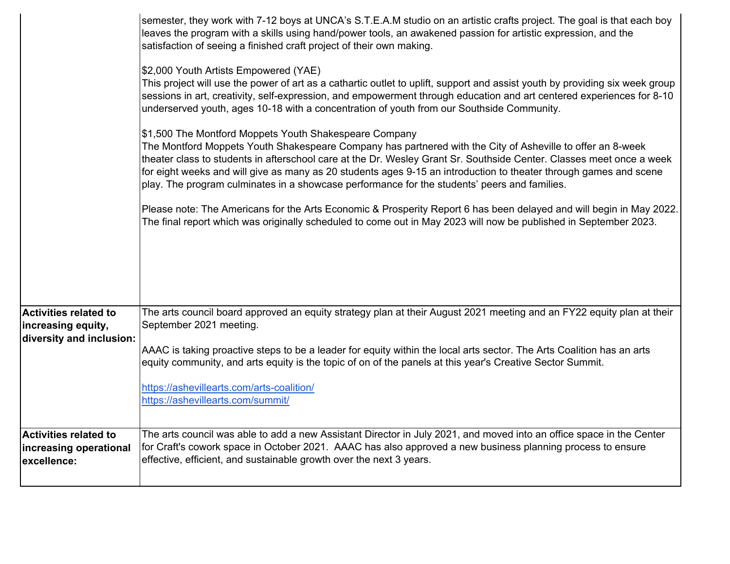|                                                | semester, they work with 7-12 boys at UNCA's S.T.E.A.M studio on an artistic crafts project. The goal is that each boy<br>leaves the program with a skills using hand/power tools, an awakened passion for artistic expression, and the<br>satisfaction of seeing a finished craft project of their own making.                                                                                                                                                                                                   |  |  |  |  |  |  |  |
|------------------------------------------------|-------------------------------------------------------------------------------------------------------------------------------------------------------------------------------------------------------------------------------------------------------------------------------------------------------------------------------------------------------------------------------------------------------------------------------------------------------------------------------------------------------------------|--|--|--|--|--|--|--|
|                                                | \$2,000 Youth Artists Empowered (YAE)<br>This project will use the power of art as a cathartic outlet to uplift, support and assist youth by providing six week group<br>sessions in art, creativity, self-expression, and empowerment through education and art centered experiences for 8-10<br>underserved youth, ages 10-18 with a concentration of youth from our Southside Community.                                                                                                                       |  |  |  |  |  |  |  |
|                                                | \$1,500 The Montford Moppets Youth Shakespeare Company<br>The Montford Moppets Youth Shakespeare Company has partnered with the City of Asheville to offer an 8-week<br>theater class to students in afterschool care at the Dr. Wesley Grant Sr. Southside Center. Classes meet once a week<br>for eight weeks and will give as many as 20 students ages 9-15 an introduction to theater through games and scene<br>play. The program culminates in a showcase performance for the students' peers and families. |  |  |  |  |  |  |  |
|                                                | Please note: The Americans for the Arts Economic & Prosperity Report 6 has been delayed and will begin in May 2022.<br>The final report which was originally scheduled to come out in May 2023 will now be published in September 2023.                                                                                                                                                                                                                                                                           |  |  |  |  |  |  |  |
|                                                |                                                                                                                                                                                                                                                                                                                                                                                                                                                                                                                   |  |  |  |  |  |  |  |
| <b>Activities related to</b>                   | The arts council board approved an equity strategy plan at their August 2021 meeting and an FY22 equity plan at their<br>September 2021 meeting.                                                                                                                                                                                                                                                                                                                                                                  |  |  |  |  |  |  |  |
| increasing equity,<br>diversity and inclusion: |                                                                                                                                                                                                                                                                                                                                                                                                                                                                                                                   |  |  |  |  |  |  |  |
|                                                | AAAC is taking proactive steps to be a leader for equity within the local arts sector. The Arts Coalition has an arts<br>equity community, and arts equity is the topic of on of the panels at this year's Creative Sector Summit.                                                                                                                                                                                                                                                                                |  |  |  |  |  |  |  |
|                                                | https://ashevillearts.com/arts-coalition/                                                                                                                                                                                                                                                                                                                                                                                                                                                                         |  |  |  |  |  |  |  |
|                                                | https://ashevillearts.com/summit/                                                                                                                                                                                                                                                                                                                                                                                                                                                                                 |  |  |  |  |  |  |  |
| <b>Activities related to</b>                   | The arts council was able to add a new Assistant Director in July 2021, and moved into an office space in the Center                                                                                                                                                                                                                                                                                                                                                                                              |  |  |  |  |  |  |  |
| increasing operational                         | for Craft's cowork space in October 2021. AAAC has also approved a new business planning process to ensure                                                                                                                                                                                                                                                                                                                                                                                                        |  |  |  |  |  |  |  |
| excellence:                                    | effective, efficient, and sustainable growth over the next 3 years.                                                                                                                                                                                                                                                                                                                                                                                                                                               |  |  |  |  |  |  |  |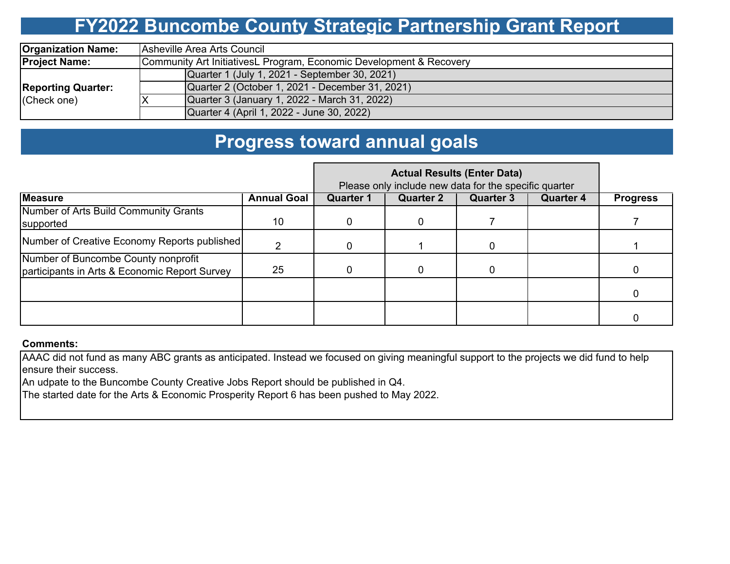# **FY2022 Buncombe County Strategic Partnership Grant Report**

| <b>Organization Name:</b>                | Asheville Area Arts Council                                         |  |  |  |  |  |  |  |
|------------------------------------------|---------------------------------------------------------------------|--|--|--|--|--|--|--|
| <b>Project Name:</b>                     | Community Art InitiativesL Program, Economic Development & Recovery |  |  |  |  |  |  |  |
| <b>Reporting Quarter:</b><br>(Check one) | Quarter 1 (July 1, 2021 - September 30, 2021)                       |  |  |  |  |  |  |  |
|                                          | Quarter 2 (October 1, 2021 - December 31, 2021)                     |  |  |  |  |  |  |  |
|                                          | Quarter 3 (January 1, 2022 - March 31, 2022)                        |  |  |  |  |  |  |  |
|                                          | Quarter 4 (April 1, 2022 - June 30, 2022)                           |  |  |  |  |  |  |  |

### **Progress toward annual goals**

|                                                                                      | Please only include new data for the specific quarter |                  |                  |                  |                  |                 |
|--------------------------------------------------------------------------------------|-------------------------------------------------------|------------------|------------------|------------------|------------------|-----------------|
| <b>Measure</b>                                                                       | <b>Annual Goal</b>                                    | <b>Quarter 1</b> | <b>Quarter 2</b> | <b>Quarter 3</b> | <b>Quarter 4</b> | <b>Progress</b> |
| Number of Arts Build Community Grants<br>supported                                   | 10                                                    |                  |                  |                  |                  |                 |
| Number of Creative Economy Reports published                                         |                                                       |                  |                  |                  |                  |                 |
| Number of Buncombe County nonprofit<br>participants in Arts & Economic Report Survey | 25                                                    |                  |                  |                  |                  |                 |
|                                                                                      |                                                       |                  |                  |                  |                  |                 |
|                                                                                      |                                                       |                  |                  |                  |                  |                 |

#### **Comments:**

AAAC did not fund as many ABC grants as anticipated. Instead we focused on giving meaningful support to the projects we did fund to help ensure their success.

An udpate to the Buncombe County Creative Jobs Report should be published in Q4.

The started date for the Arts & Economic Prosperity Report 6 has been pushed to May 2022.